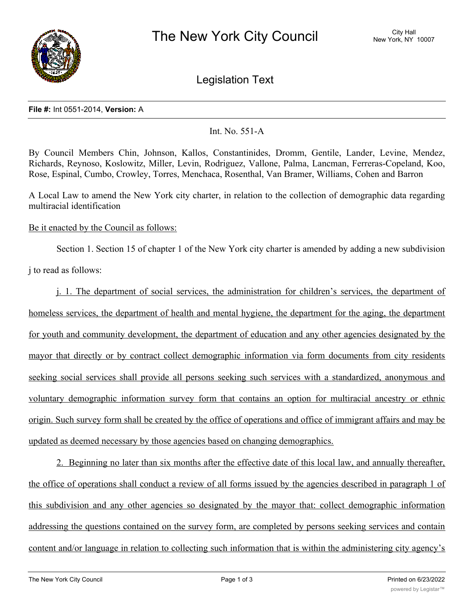

Legislation Text

## **File #:** Int 0551-2014, **Version:** A

## Int. No. 551-A

By Council Members Chin, Johnson, Kallos, Constantinides, Dromm, Gentile, Lander, Levine, Mendez, Richards, Reynoso, Koslowitz, Miller, Levin, Rodriguez, Vallone, Palma, Lancman, Ferreras-Copeland, Koo, Rose, Espinal, Cumbo, Crowley, Torres, Menchaca, Rosenthal, Van Bramer, Williams, Cohen and Barron

A Local Law to amend the New York city charter, in relation to the collection of demographic data regarding multiracial identification

Be it enacted by the Council as follows:

Section 1. Section 15 of chapter 1 of the New York city charter is amended by adding a new subdivision

j to read as follows:

j. 1. The department of social services, the administration for children's services, the department of homeless services, the department of health and mental hygiene, the department for the aging, the department for youth and community development, the department of education and any other agencies designated by the mayor that directly or by contract collect demographic information via form documents from city residents seeking social services shall provide all persons seeking such services with a standardized, anonymous and voluntary demographic information survey form that contains an option for multiracial ancestry or ethnic origin. Such survey form shall be created by the office of operations and office of immigrant affairs and may be updated as deemed necessary by those agencies based on changing demographics.

2. Beginning no later than six months after the effective date of this local law, and annually thereafter, the office of operations shall conduct a review of all forms issued by the agencies described in paragraph 1 of this subdivision and any other agencies so designated by the mayor that: collect demographic information addressing the questions contained on the survey form, are completed by persons seeking services and contain content and/or language in relation to collecting such information that is within the administering city agency's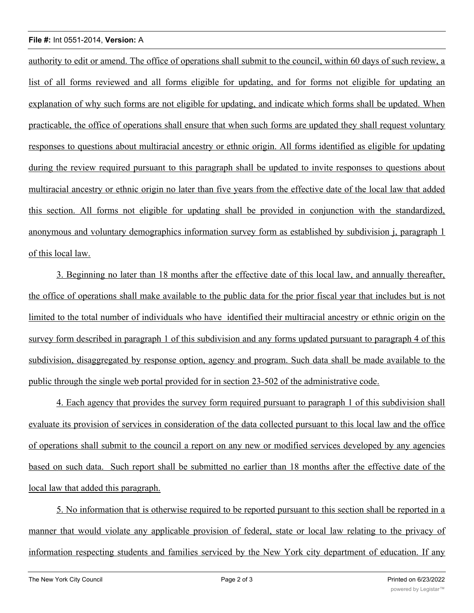## **File #:** Int 0551-2014, **Version:** A

authority to edit or amend. The office of operations shall submit to the council, within 60 days of such review, a list of all forms reviewed and all forms eligible for updating, and for forms not eligible for updating an explanation of why such forms are not eligible for updating, and indicate which forms shall be updated. When practicable, the office of operations shall ensure that when such forms are updated they shall request voluntary responses to questions about multiracial ancestry or ethnic origin. All forms identified as eligible for updating during the review required pursuant to this paragraph shall be updated to invite responses to questions about multiracial ancestry or ethnic origin no later than five years from the effective date of the local law that added this section. All forms not eligible for updating shall be provided in conjunction with the standardized, anonymous and voluntary demographics information survey form as established by subdivision j, paragraph 1 of this local law.

3. Beginning no later than 18 months after the effective date of this local law, and annually thereafter, the office of operations shall make available to the public data for the prior fiscal year that includes but is not limited to the total number of individuals who have identified their multiracial ancestry or ethnic origin on the survey form described in paragraph 1 of this subdivision and any forms updated pursuant to paragraph 4 of this subdivision, disaggregated by response option, agency and program. Such data shall be made available to the public through the single web portal provided for in section 23-502 of the administrative code.

4. Each agency that provides the survey form required pursuant to paragraph 1 of this subdivision shall evaluate its provision of services in consideration of the data collected pursuant to this local law and the office of operations shall submit to the council a report on any new or modified services developed by any agencies based on such data. Such report shall be submitted no earlier than 18 months after the effective date of the local law that added this paragraph.

5. No information that is otherwise required to be reported pursuant to this section shall be reported in a manner that would violate any applicable provision of federal, state or local law relating to the privacy of information respecting students and families serviced by the New York city department of education. If any